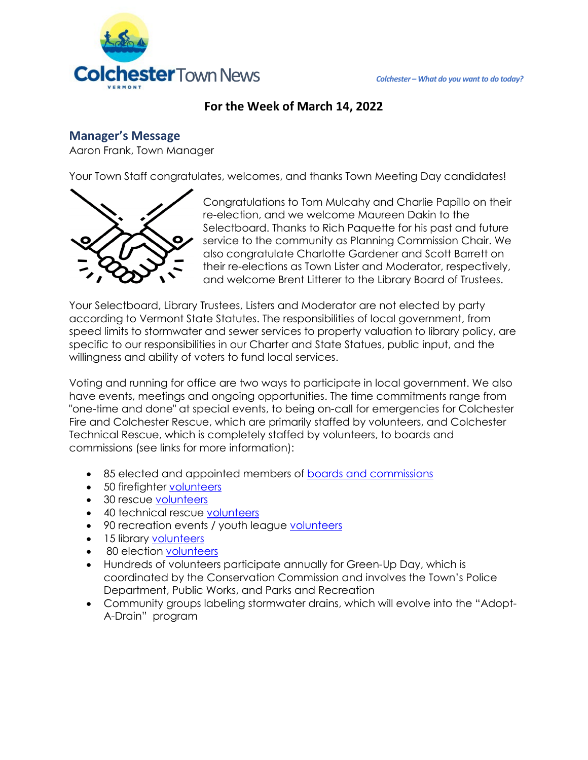

## **For the Week of March 14, 2022**

### **Manager's Message**

Aaron Frank, Town Manager

Your Town Staff congratulates, welcomes, and thanks Town Meeting Day candidates!



Congratulations to Tom Mulcahy and Charlie Papillo on their re-election, and we welcome Maureen Dakin to the Selectboard. Thanks to Rich Paquette for his past and future service to the community as Planning Commission Chair. We also congratulate Charlotte Gardener and Scott Barrett on their re-elections as Town Lister and Moderator, respectively, and welcome Brent Litterer to the Library Board of Trustees.

Your Selectboard, Library Trustees, Listers and Moderator are not elected by party according to Vermont State Statutes. The responsibilities of local government, from speed limits to stormwater and sewer services to property valuation to library policy, are specific to our responsibilities in our Charter and State Statues, public input, and the willingness and ability of voters to fund local services.

Voting and running for office are two ways to participate in local government. We also have events, meetings and ongoing opportunities. The time commitments range from "one-time and done" at special events, to being on-call for emergencies for Colchester Fire and Colchester Rescue, which are primarily staffed by volunteers, and Colchester Technical Rescue, which is completely staffed by volunteers, to boards and commissions (see links for more information):

- 85 elected and appointed members of [boards and commissions](https://colchestervt.gov/369/Boards-Commissions)
- 50 firefighter [volunteers](https://colchestervt.gov/3249/Volunteer)
- 30 rescue [volunteers](https://colchestervt.gov/304/Membership)
- 40 technical rescue [volunteers](https://colchestervt.gov/306/Technical-Rescue)
- 90 recreation events / youth league [volunteers](https://colchestervt.gov/365/Forms)
- 15 library [volunteers](https://colchestervt.gov/253/Volunteer)
- 80 election [volunteers](https://colchestervt.gov/322/Town-Clerk)
- Hundreds of volunteers participate annually for Green-Up Day, which is coordinated by the Conservation Commission and involves the Town's Police Department, Public Works, and Parks and Recreation
- Community groups labeling stormwater drains, which will evolve into the "Adopt-A-Drain" program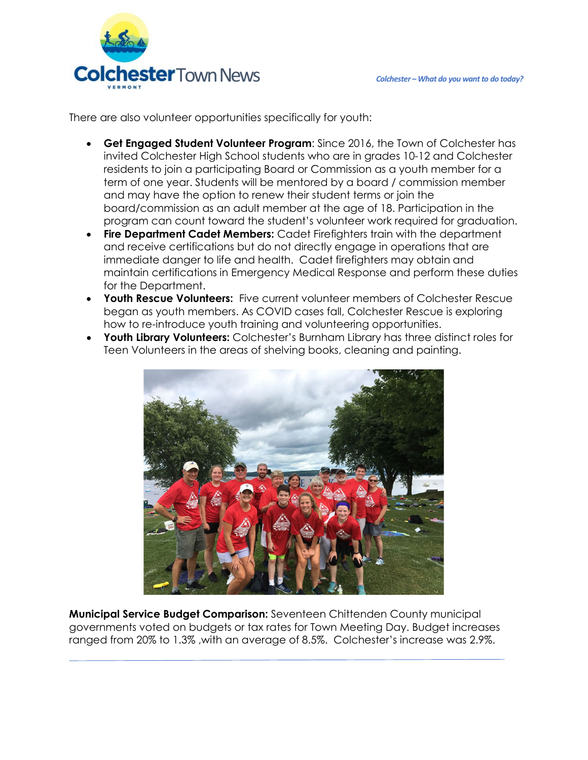

There are also volunteer opportunities specifically for youth:

- **Get Engaged Student Volunteer Program**: Since 2016, the Town of Colchester has invited Colchester High School students who are in grades 10-12 and Colchester residents to join a participating Board or Commission as a youth member for a term of one year. Students will be mentored by a board / commission member and may have the option to renew their student terms or join the board/commission as an adult member at the age of 18. Participation in the program can count toward the student's volunteer work required for graduation.
- **Fire Department Cadet Members:** Cadet Firefighters train with the department and receive certifications but do not directly engage in operations that are immediate danger to life and health. Cadet firefighters may obtain and maintain certifications in Emergency Medical Response and perform these duties for the Department.
- **Youth Rescue Volunteers:** Five current volunteer members of Colchester Rescue began as youth members. As COVID cases fall, Colchester Rescue is exploring how to re-introduce youth training and volunteering opportunities.
- **Youth Library Volunteers:** Colchester's Burnham Library has three distinct roles for Teen Volunteers in the areas of shelving books, cleaning and painting.



**Municipal Service Budget Comparison:** Seventeen Chittenden County municipal governments voted on budgets or tax rates for Town Meeting Day. Budget increases ranged from 20% to 1.3% ,with an average of 8.5%. Colchester's increase was 2.9%.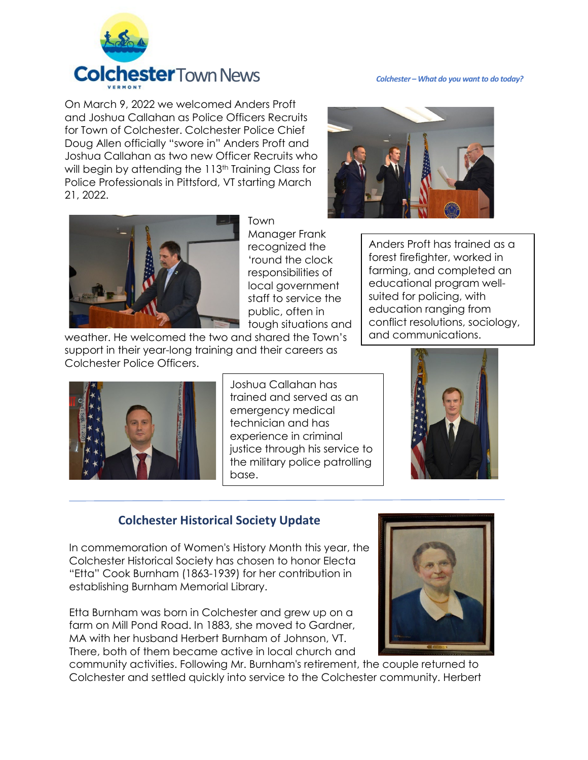

On March 9, 2022 we welcomed Anders Proft and Joshua Callahan as Police Officers Recruits for Town of Colchester. Colchester Police Chief Doug Allen officially "swore in" Anders Proft and Joshua Callahan as two new Officer Recruits who will begin by attending the 113<sup>th</sup> Training Class for Police Professionals in Pittsford, VT starting March 21, 2022.





Town

Manager Frank recognized the 'round the clock responsibilities of local government staff to service the public, often in tough situations and

weather. He welcomed the two and shared the Town's support in their year-long training and their careers as Colchester Police Officers.

Anders Proft has trained as a forest firefighter, worked in farming, and completed an educational program wellsuited for policing, with education ranging from conflict resolutions, sociology, and communications.



Joshua Callahan has trained and served as an emergency medical technician and has experience in criminal justice through his service to the military police patrolling base.



## **Colchester Historical Society Update**

In commemoration of Women's History Month this year, the Colchester Historical Society has chosen to honor Electa "Etta" Cook Burnham (1863-1939) for her contribution in establishing Burnham Memorial Library.

Etta Burnham was born in Colchester and grew up on a farm on Mill Pond Road. In 1883, she moved to Gardner, MA with her husband Herbert Burnham of Johnson, VT. There, both of them became active in local church and

community activities. Following Mr. Burnham's retirement, the couple returned to Colchester and settled quickly into service to the Colchester community. Herbert

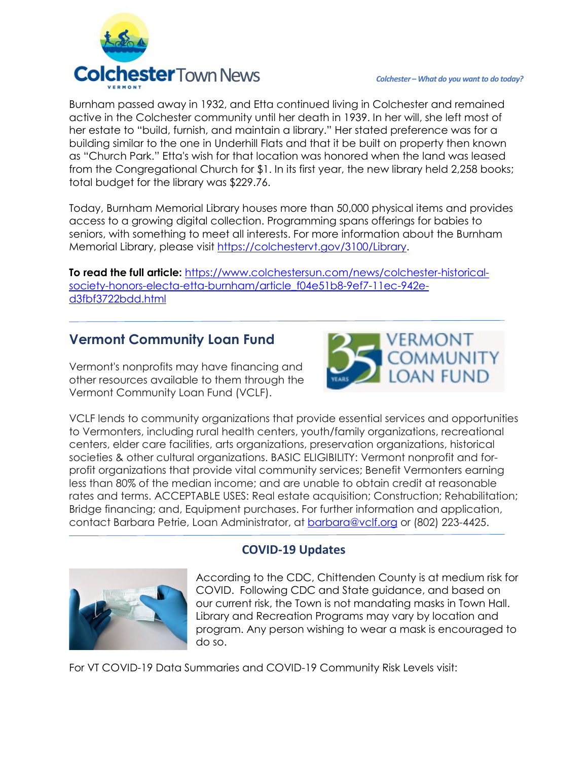

Burnham passed away in 1932, and Etta continued living in Colchester and remained active in the Colchester community until her death in 1939. In her will, she left most of her estate to "build, furnish, and maintain a library." Her stated preference was for a building similar to the one in Underhill Flats and that it be built on property then known as "Church Park." Etta's wish for that location was honored when the land was leased from the Congregational Church for \$1. In its first year, the new library held 2,258 books; total budget for the library was \$229.76.

Today, Burnham Memorial Library houses more than 50,000 physical items and provides access to a growing digital collection. Programming spans offerings for babies to seniors, with something to meet all interests. For more information about the Burnham Memorial Library, please visit [https://colchestervt.gov/3100/Library.](https://colchestervt.gov/3100/Library)

**To read the full article:** [https://www.colchestersun.com/news/colchester-historical](https://www.colchestersun.com/news/colchester-historical-society-honors-electa-etta-burnham/article_f04e51b8-9ef7-11ec-942e-d3fbf3722bdd.html)[society-honors-electa-etta-burnham/article\\_f04e51b8-9ef7-11ec-942e](https://www.colchestersun.com/news/colchester-historical-society-honors-electa-etta-burnham/article_f04e51b8-9ef7-11ec-942e-d3fbf3722bdd.html)[d3fbf3722bdd.html](https://www.colchestersun.com/news/colchester-historical-society-honors-electa-etta-burnham/article_f04e51b8-9ef7-11ec-942e-d3fbf3722bdd.html)

# **Vermont Community Loan Fund**

Vermont's nonprofits may have financing and other resources available to them through the Vermont Community Loan Fund (VCLF).



VCLF lends to community organizations that provide essential services and opportunities to Vermonters, including rural health centers, youth/family organizations, recreational centers, elder care facilities, arts organizations, preservation organizations, historical societies & other cultural organizations. BASIC ELIGIBILITY: Vermont nonprofit and forprofit organizations that provide vital community services; Benefit Vermonters earning less than 80% of the median income; and are unable to obtain credit at reasonable rates and terms. ACCEPTABLE USES: Real estate acquisition; Construction; Rehabilitation; Bridge financing; and, Equipment purchases. For further information and application, contact Barbara Petrie, Loan Administrator, at [barbara@vclf.org](mailto:barbara@vclf.org) or (802) 223-4425.



# **COVID-19 Updates**

According to the CDC, Chittenden County is at medium risk for COVID. Following CDC and State guidance, and based on our current risk, the Town is not mandating masks in Town Hall. Library and Recreation Programs may vary by location and program. Any person wishing to wear a mask is encouraged to do so.

For VT COVID-19 Data Summaries and COVID-19 Community Risk Levels visit: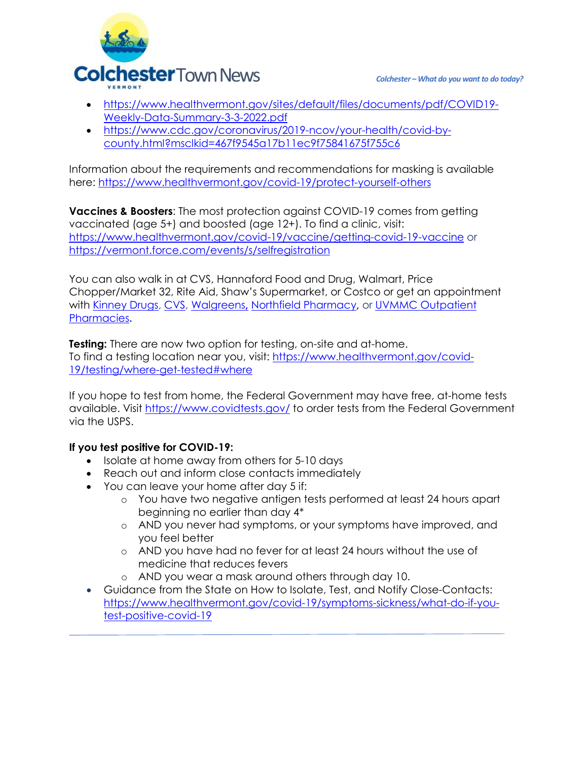

- [https://www.healthvermont.gov/sites/default/files/documents/pdf/COVID19-](https://www.healthvermont.gov/sites/default/files/documents/pdf/COVID19-Weekly-Data-Summary-3-3-2022.pdf) [Weekly-Data-Summary-3-3-2022.pdf](https://www.healthvermont.gov/sites/default/files/documents/pdf/COVID19-Weekly-Data-Summary-3-3-2022.pdf)
- [https://www.cdc.gov/coronavirus/2019-ncov/your-health/covid-by](https://www.cdc.gov/coronavirus/2019-ncov/your-health/covid-by-county.html?msclkid=467f9545a17b11ec9f75841675f755c6)[county.html?msclkid=467f9545a17b11ec9f75841675f755c6](https://www.cdc.gov/coronavirus/2019-ncov/your-health/covid-by-county.html?msclkid=467f9545a17b11ec9f75841675f755c6)

Information about the requirements and recommendations for masking is available here:<https://www.healthvermont.gov/covid-19/protect-yourself-others>

**Vaccines & Boosters**: The most protection against COVID-19 comes from getting vaccinated (age 5+) and boosted (age 12+). To find a clinic, visit: <https://www.healthvermont.gov/covid-19/vaccine/getting-covid-19-vaccine> or <https://vermont.force.com/events/s/selfregistration>

You can also walk in at CVS, Hannaford Food and Drug, Walmart, Price Chopper/Market 32, Rite Aid, Shaw's Supermarket, or Costco or get an appointment with [Kinney Drugs,](https://kinneydrugs.com/pharmacy/covid-19/vaccination-scheduling/) [CVS,](https://www.cvs.com/immunizations/covid-19-vaccine) [Walgreens](https://www.walgreens.com/schedulevaccine)**,** [Northfield Pharmacy](http://www.northfieldpharmacy.com/)**,** or [UVMMC Outpatient](https://www.uvmhealth.org/medcenter/departments-and-programs/pharmacy-services/schedule-your-covid-19-vaccine)  [Pharmacies](https://www.uvmhealth.org/medcenter/departments-and-programs/pharmacy-services/schedule-your-covid-19-vaccine)**.**

**Testing:** There are now two option for testing, on-site and at-home. To find a testing location near you, visit: [https://www.healthvermont.gov/covid-](https://www.healthvermont.gov/covid-19/testing/where-get-tested#where)[19/testing/where-get-tested#where](https://www.healthvermont.gov/covid-19/testing/where-get-tested#where)

If you hope to test from home, the Federal Government may have free, at-home tests available. Visit<https://www.covidtests.gov/> to order tests from the Federal Government via the USPS.

#### **If you test positive for COVID-19:**

- Isolate at home away from others for 5-10 days
- Reach out and inform close contacts immediately
- You can leave your home after day 5 if:
	- o You have two negative antigen tests performed at least 24 hours apart beginning no earlier than day 4\*
	- o AND you never had symptoms, or your symptoms have improved, and you feel better
	- o AND you have had no fever for at least 24 hours without the use of medicine that reduces fevers
	- o AND you wear a mask around others through day 10.
- Guidance from the State on How to Isolate, Test, and Notify Close-Contacts: [https://www.healthvermont.gov/covid-19/symptoms-sickness/what-do-if-you](https://www.healthvermont.gov/covid-19/symptoms-sickness/what-do-if-you-test-positive-covid-19)[test-positive-covid-19](https://www.healthvermont.gov/covid-19/symptoms-sickness/what-do-if-you-test-positive-covid-19)